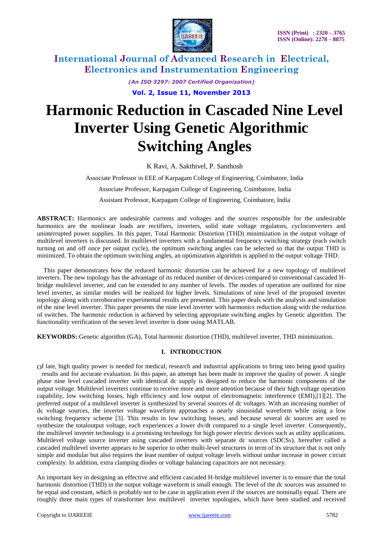

> *(An ISO 3297: 2007 Certified Organization)* **Vol. 2, Issue 11, November 2013**

# **Harmonic Reduction in Cascaded Nine Level Inverter Using Genetic Algorithmic Switching Angles**

K Ravi, A. Sakthivel, P. Santhosh

Associate Professor in EEE of Karpagam College of Engineering, Coimbatore, India

Associate Professor, Karpagam College of Engineering, Coimbatore, India

Assistant Professor, Karpagam College of Engineering, Coimbatore, India

**ABSTRACT:** Harmonics are undesirable currents and voltages and the sources responsible for the undesirable harmonics are the nonlinear loads are rectifiers, inverters, solid state voltage regulators, cycloconverters and uninterrupted power supplies. In this paper, Total Harmonic Distortion (THD) minimization in the output voltage of multilevel inverters is discussed. In multilevel inverters with a fundamental frequency switching strategy (each switch turning on and off once per output cycle), the optimum switching angles can be selected so that the output THD is minimized. To obtain the optimum switching angles, an optimization algorithm is applied to the output voltage THD.

This paper demonstrates how the reduced harmonic distortion can be achieved for a new topology of multilevel inverters. The new topology has the advantage of its reduced number of devices compared to conventional cascaded Hbridge multilevel inverter, and can be extended to any number of levels. The modes of operation are outlined for nine level inverter, as similar modes will be realized for higher levels. Simulations of nine level of the proposed inverter topology along with corroborative experimental results are presented. This paper deals with the analysis and simulation of the nine level inverter. This paper presents the nine level inverter with harmonics reduction along with the reduction of switches. The harmonic reduction is achieved by selecting appropriate switching angles by Genetic algorithm. The functionality verification of the seven level inverter is done using MATLAB.

**KEYWORDS:** Genetic algorithm (GA), Total harmonic distortion (THD), multilevel inverter, THD minimization.

### **I. INTRODUCTION**

Of late, high quality power is needed for medical, research and industrial applications to bring into being good quality results and for accurate evaluation. In this paper, an attempt has been made to improve the quality of power. A single phase nine level cascaded inverter with identical dc supply is designed to reduce the harmonic components of the output voltage. Multilevel inverters continue to receive more and more attention because of their high voltage operation capability, low switching losses, high efficiency and low output of electromagnetic interference (EMI),[1][2]. The preferred output of a multilevel inverter is synthesized by several sources of dc voltages. With an increasing number of dc voltage sources, the inverter voltage waveform approaches a nearly sinusoidal waveform while using a low switching frequency scheme [3]. This results in low switching losses, and because several dc sources are used to synthesize the totaloutput voltage, each experiences a lower dv/dt compared to a single level inverter. Consequently, the multilevel inverter technology is a promising technology for high power electric devices such as utility applications. Multilevel voltage source inverter using cascaded inverters with separate dc sources (SDCSs), hereafter called a cascaded multilevel inverter appears to be superior to other multi-level structures in term of its structure that is not only simple and modular but also requires the least number of output voltage levels without undue increase in power circuit complexity. In addition, extra clamping diodes or voltage balancing capacitors are not necessary.

An important key in designing an effective and efficient cascaded H-bridge multilevel inverter is to ensure that the total harmonic distortion (THD) in the output voltage waveform is small enough. The level of the dc sources was assumed to be equal and constant, which is probably not to be case in application even if the sources are nominally equal. There are roughly three main types of transformer less multilevel inverter topologies, which have been studied and received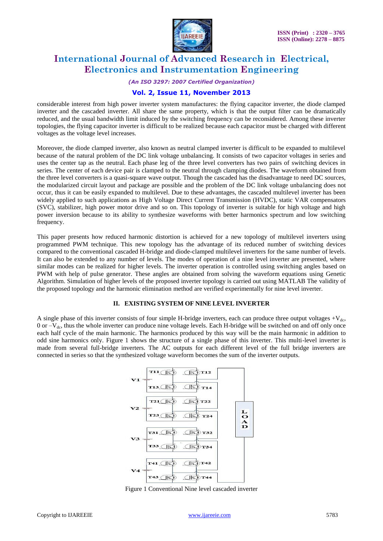

*(An ISO 3297: 2007 Certified Organization)*

### **Vol. 2, Issue 11, November 2013**

considerable interest from high power inverter system manufactures: the flying capacitor inverter, the diode clamped inverter and the cascaded inverter. All share the same property, which is that the output filter can be dramatically reduced, and the usual bandwidth limit induced by the switching frequency can be reconsidered. Among these inverter topologies, the flying capacitor inverter is difficult to be realized because each capacitor must be charged with different voltages as the voltage level increases.

Moreover, the diode clamped inverter, also known as neutral clamped inverter is difficult to be expanded to multilevel because of the natural problem of the DC link voltage unbalancing. It consists of two capacitor voltages in series and uses the center tap as the neutral. Each phase leg of the three level converters has two pairs of switching devices in series. The center of each device pair is clamped to the neutral through clamping diodes. The waveform obtained from the three level converters is a quasi-square wave output. Though the cascaded has the disadvantage to need DC sources, the modularized circuit layout and package are possible and the problem of the DC link voltage unbalancing does not occur, thus it can be easily expanded to multilevel. Due to these advantages, the cascaded multilevel inverter has been widely applied to such applications as High Voltage Direct Current Transmission (HVDC), static VAR compensators (SVC), stabilizer, high power motor drive and so on. This topology of inverter is suitable for high voltage and high power inversion because to its ability to synthesize waveforms with better harmonics spectrum and low switching frequency.

This paper presents how reduced harmonic distortion is achieved for a new topology of multilevel inverters using programmed PWM technique. This new topology has the advantage of its reduced number of switching devices compared to the conventional cascaded H-bridge and diode-clamped multilevel inverters for the same number of levels. It can also be extended to any number of levels. The modes of operation of a nine level inverter are presented, where similar modes can be realized for higher levels. The inverter operation is controlled using switching angles based on PWM with help of pulse generator. These angles are obtained from solving the waveform equations using Genetic Algorithm. Simulation of higher levels of the proposed inverter topology is carried out using MATLAB The validity of the proposed topology and the harmonic elimination method are verified experimentally for nine level inverter.

### **II. EXISTING SYSTEM OF NINE LEVEL INVERTER**

A single phase of this inverter consists of four simple H-bridge inverters, each can produce three output voltages  $+V_{dc}$ ,  $0$  or  $-V_{dc}$ , thus the whole inverter can produce nine voltage levels. Each H-bridge will be switched on and off only once each half cycle of the main harmonic. The harmonics produced by this way will be the main harmonic in addition to odd sine harmonics only. Figure 1 shows the structure of a single phase of this inverter. This multi-level inverter is made from several full-bridge inverters. The AC outputs for each different level of the full bridge inverters are connected in series so that the synthesized voltage waveform becomes the sum of the inverter outputs.



Figure 1 Conventional Nine level cascaded inverter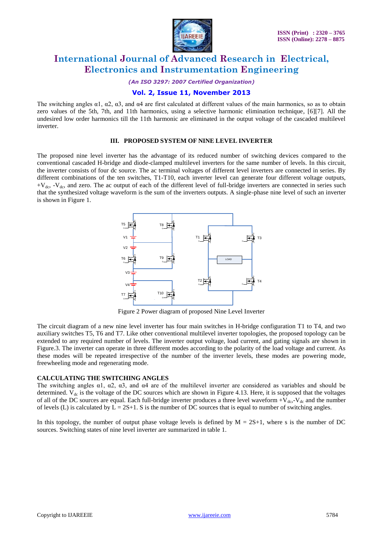

*(An ISO 3297: 2007 Certified Organization)*

### **Vol. 2, Issue 11, November 2013**

The switching angles  $\alpha$ 1,  $\alpha$ 2,  $\alpha$ 3, and  $\alpha$ 4 are first calculated at different values of the main harmonics, so as to obtain zero values of the 5th, 7th, and 11th harmonics, using a selective harmonic elimination technique, [6][7]. All the undesired low order harmonics till the 11th harmonic are eliminated in the output voltage of the cascaded multilevel inverter.

#### **III. PROPOSED SYSTEM OF NINE LEVEL INVERTER**

The proposed nine level inverter has the advantage of its reduced number of switching devices compared to the conventional cascaded H-bridge and diode-clamped multilevel inverters for the same number of levels. In this circuit, the inverter consists of four dc source. The ac terminal voltages of different level inverters are connected in series. By different combinations of the ten switches, T1-T10, each inverter level can generate four different voltage outputs,  $+V_{dc}$ ,  $-V_{dc}$ , and zero. The ac output of each of the different level of full-bridge inverters are connected in series such that the synthesized voltage waveform is the sum of the inverters outputs. A single-phase nine level of such an inverter is shown in Figure 1.



Figure 2 Power diagram of proposed Nine Level Inverter

The circuit diagram of a new nine level inverter has four main switches in H-bridge configuration T1 to T4, and two auxiliary switches T5, T6 and T7. Like other conventional multilevel inverter topologies, the proposed topology can be extended to any required number of levels. The inverter output voltage, load current, and gating signals are shown in Figure.3. The inverter can operate in three different modes according to the polarity of the load voltage and current. As these modes will be repeated irrespective of the number of the inverter levels, these modes are powering mode, freewheeling mode and regenerating mode.

#### **CALCULATING THE SWITCHING ANGLES**

The switching angles  $\alpha$ 1,  $\alpha$ 2,  $\alpha$ 3, and  $\alpha$ 4 are of the multilevel inverter are considered as variables and should be determined.  $V_{dc}$  is the voltage of the DC sources which are shown in Figure 4.13. Here, it is supposed that the voltages of all of the DC sources are equal. Each full-bridge inverter produces a three level waveform  $+V_{dc}$ ,- $V_{dc}$  and the number of levels (L) is calculated by  $L = 2S+1$ . S is the number of DC sources that is equal to number of switching angles.

In this topology, the number of output phase voltage levels is defined by  $M = 2S+1$ , where s is the number of DC sources. Switching states of nine level inverter are summarized in table 1.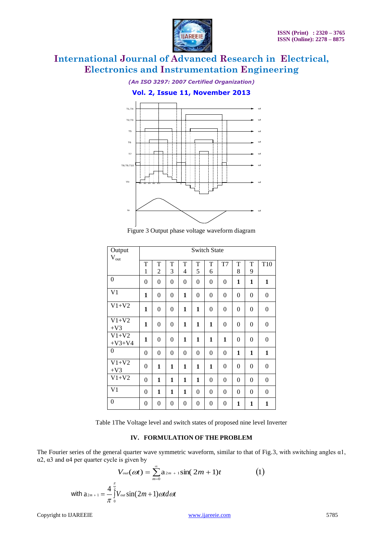

*(An ISO 3297: 2007 Certified Organization)*

**Vol. 2, Issue 11, November 2013**



Figure 3 Output phase voltage waveform diagram

| Output              | <b>Switch State</b> |                  |                  |                |                |                  |                  |                |                |                  |
|---------------------|---------------------|------------------|------------------|----------------|----------------|------------------|------------------|----------------|----------------|------------------|
| $V_{\text{out}}$    | T                   | T                | T                | T              | $\mathbf T$    | $\rm T$          | T7               | T              | T              | T <sub>10</sub>  |
|                     | 1                   | 2                | 3                | 4              | 5              | 6                |                  | 8              | 9              |                  |
| $\mathbf{0}$        | $\theta$            | $\overline{0}$   | $\overline{0}$   | $\overline{0}$ | $\overline{0}$ | $\boldsymbol{0}$ | $\boldsymbol{0}$ | $\mathbf{1}$   | $\mathbf{1}$   | $\mathbf{1}$     |
| V <sub>1</sub>      | $\mathbf{1}$        | $\overline{0}$   | $\overline{0}$   | $\mathbf{1}$   | $\overline{0}$ | $\overline{0}$   | $\theta$         | $\overline{0}$ | $\overline{0}$ | $\overline{0}$   |
| $V1+V2$             | 1                   | $\overline{0}$   | $\overline{0}$   | 1              | $\mathbf{1}$   | $\overline{0}$   | $\theta$         | $\overline{0}$ | $\overline{0}$ | $\boldsymbol{0}$ |
| $V1+V2$<br>$+V3$    | 1                   | $\theta$         | $\overline{0}$   | 1              | 1              | 1                | 0                | $\overline{0}$ | 0              | $\boldsymbol{0}$ |
| $V1+V2$<br>$+V3+V4$ | 1                   | $\theta$         | $\Omega$         | 1              | 1              | 1                | 1                | 0              | $\theta$       | $\boldsymbol{0}$ |
| $\overline{0}$      | $\theta$            | $\overline{0}$   | $\overline{0}$   | $\theta$       | $\overline{0}$ | $\boldsymbol{0}$ | $\theta$         | $\mathbf{1}$   | 1              | $\mathbf{1}$     |
| $V1+V2$<br>$+V3$    | $\theta$            | $\mathbf{1}$     | 1                | 1              | $\mathbf{1}$   | $\mathbf{1}$     | $\theta$         | $\overline{0}$ | $\theta$       | $\boldsymbol{0}$ |
| $V1+V2$             | $\theta$            | $\mathbf{1}$     | $\mathbf{1}$     | 1              | $\mathbf{1}$   | $\boldsymbol{0}$ | $\theta$         | $\overline{0}$ | $\theta$       | $\boldsymbol{0}$ |
| V <sub>1</sub>      | $\overline{0}$      | $\mathbf{1}$     | 1                | 1              | $\overline{0}$ | $\overline{0}$   | $\theta$         | $\overline{0}$ | $\overline{0}$ | $\overline{0}$   |
| $\theta$            | $\theta$            | $\boldsymbol{0}$ | $\boldsymbol{0}$ | 0              | 0              | $\boldsymbol{0}$ | 0                | 1              | 1              | $\mathbf{1}$     |

Table 1The Voltage level and switch states of proposed nine level Inverter

#### **IV. FORMULATION OF THE PROBLEM**

The Fourier series of the general quarter wave symmetric waveform, similar to that of Fig.3, with switching angles α1, α2, α3 and α4 per quarter cycle is given by

$$
V_{out}(cot) = \sum_{m=0}^{\infty} a_{2m+1} \sin(2m+1)t
$$
 (1)  
with  $a_{2m+1} = \frac{4}{\pi} \int_{0}^{\frac{\pi}{2}} V_{out} \sin(2m+1) \omega t d\omega t$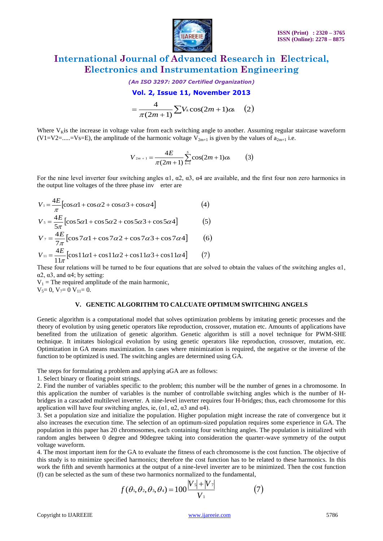

*(An ISO 3297: 2007 Certified Organization)*

### **Vol. 2, Issue 11, November 2013**

$$
=\frac{4}{\pi(2m+1)}\sum V_k \cos(2m+1)\alpha_k \quad (2)
$$

Where  $V_{\rm K}$  is the increase in voltage value from each switching angle to another. Assuming regular staircase waveform  $(V1=V2=....=Vs=E)$ , the amplitude of the harmonic voltage  $V_{2m+1}$  is given by the values of  $a_{2m+1}$  i.e.

$$
V_{2m+1} = \frac{4E}{\pi(2m+1)} \sum_{k=1}^{s} \cos(2m+1)\alpha_k \qquad (3)
$$

For the nine level inverter four switching angles  $\alpha$ 1,  $\alpha$ 2,  $\alpha$ 3,  $\alpha$ 4 are available, and the first four non zero harmonics in the output line voltages of the three phase inv erter are

$$
V_1 = \frac{4E}{\pi} \left[ \cos \alpha 1 + \cos \alpha 2 + \cos \alpha 3 + \cos \alpha 4 \right]
$$
(4)  
\n
$$
V_5 = \frac{4E}{5\pi} \left[ \cos 5\alpha 1 + \cos 5\alpha 2 + \cos 5\alpha 3 + \cos 5\alpha 4 \right]
$$
(5)  
\n
$$
V_7 = \frac{4E}{7\pi} \left[ \cos 7\alpha 1 + \cos 7\alpha 2 + \cos 7\alpha 3 + \cos 7\alpha 4 \right]
$$
(6)  
\n
$$
V_{11} = \frac{4E}{11\pi} \left[ \cos 11\alpha 1 + \cos 11\alpha 2 + \cos 11\alpha 3 + \cos 11\alpha 4 \right]
$$
(7)

These four relations will be turned to be four equations that are solved to obtain the values of the switching angles α1, α2, α3, and α4; by setting:

 $V_1$  = The required amplitude of the main harmonic,  $V_5= 0$ ,  $V_7= 0$   $V_{11}= 0$ .

#### **V. GENETIC ALGORITHM TO CALCUATE OPTIMUM SWITCHING ANGELS**

Where V<sub>ist</sub>'s the interest is voltage value in the ISBN 0-COPY (2018). The Copyright of the ISBN 0-Copyright to IVARE (V) =  $\frac{1}{\sqrt{2}}\sum_{i=1}^{n}V_i\cos(2m+1)\cos\theta$ .<br>
Copyright to IVARE (V) =  $\frac{1}{\sqrt{2}}\sum_{i=1}^{n}V_i\cos(2m+1)\cos\$ Genetic algorithm is a computational model that solves optimization problems by imitating genetic processes and the theory of evolution by using genetic operators like reproduction, crossover, mutation etc. Amounts of applications have benefited from the utilization of genetic algorithm. Genetic algorithm is still a novel technique for PWM-SHE technique. It imitates biological evolution by using genetic operators like reproduction, crossover, mutation, etc. Optimization in GA means maximization. In cases where minimization is required, the negative or the inverse of the function to be optimized is used. The switching angles are determined using GA.

The steps for formulating a problem and applying aGA are as follows:

1. Select binary or floating point strings.

2. Find the number of variables specific to the problem; this number will be the number of genes in a chromosome. In this application the number of variables is the number of controllable switching angles which is the number of Hbridges in a cascaded multilevel inverter. A nine-level inverter requires four H-bridges; thus, each chromosome for this application will have four switching angles, ie,  $(\alpha 1, \alpha 2, \alpha 3 \text{ and } \alpha 4)$ .

3. Set a population size and initialize the population. Higher population might increase the rate of convergence but it also increases the execution time. The selection of an optimum-sized population requires some experience in GA. The population in this paper has 20 chromosomes, each containing four switching angles. The population is initialized with random angles between 0 degree and 90degree taking into consideration the quarter-wave symmetry of the output voltage waveform.

4. The most important item for the GA to evaluate the fitness of each chromosome is the cost function. The objective of this study is to minimize specified harmonics; therefore the cost function has to be related to these harmonics. In this work the fifth and seventh harmonics at the output of a nine-level inverter are to be minimized. Then the cost function (f) can be selected as the sum of these two harmonics normalized to the fundamental,

$$
f(\theta_1, \theta_2, \theta_3, \theta_4) = 100 \frac{|V_5| + |V_7|}{V_1}
$$
 (7)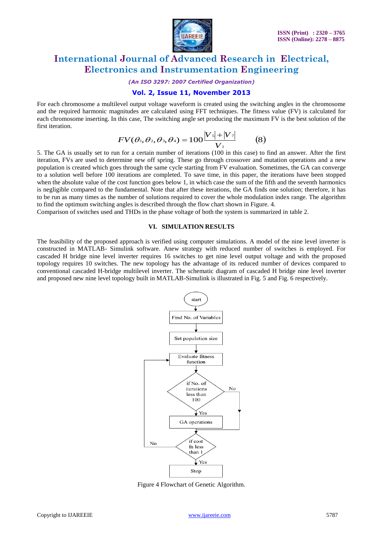

*(An ISO 3297: 2007 Certified Organization)*

### **Vol. 2, Issue 11, November 2013**

For each chromosome a multilevel output voltage waveform is created using the switching angles in the chromosome and the required harmonic magnitudes are calculated using FFT techniques. The fitness value (FV) is calculated for each chromosome inserting. In this case, The switching angle set producing the maximum FV is the best solution of the first iteration.

$$
FV(\theta_1, \theta_2, \theta_3, \theta_4) = 100 \frac{|V_s| + |V_\tau|}{V_1}
$$
 (8)

5. The GA is usually set to run for a certain number of iterations (100 in this case) to find an answer. After the first iteration, FVs are used to determine new off spring. These go through crossover and mutation operations and a new population is created which goes through the same cycle starting from FV evaluation. Sometimes, the GA can converge to a solution well before 100 iterations are completed. To save time, in this paper, the iterations have been stopped when the absolute value of the cost function goes below 1, in which case the sum of the fifth and the seventh harmonics is negligible compared to the fundamental. Note that after these iterations, the GA finds one solution; therefore, it has to be run as many times as the number of solutions required to cover the whole modulation index range. The algorithm to find the optimum switching angles is described through the flow chart shown in Figure. 4.

Comparison of switches used and THDs in the phase voltage of both the system is summarized in table 2.

#### **VI. SIMULATION RESULTS**

The feasibility of the proposed approach is verified using computer simulations. A model of the nine level inverter is constructed in MATLAB- Simulink software. Anew strategy with reduced number of switches is employed. For cascaded H bridge nine level inverter requires 16 switches to get nine level output voltage and with the proposed topology requires 10 switches. The new topology has the advantage of its reduced number of devices compared to conventional cascaded H-bridge multilevel inverter. The schematic diagram of cascaded H bridge nine level inverter and proposed new nine level topology built in MATLAB-Simulink is illustrated in Fig. 5 and Fig. 6 respectively.



Figure 4 Flowchart of Genetic Algorithm.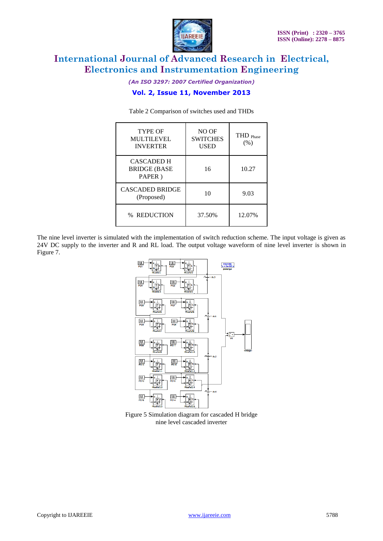

*(An ISO 3297: 2007 Certified Organization)*

### **Vol. 2, Issue 11, November 2013**

| <b>TYPE OF</b><br><b>MULTILEVEL</b><br><b>INVERTER</b> | NO OF<br><b>SWITCHES</b><br><b>USED</b> | THD Phase<br>(% ) |
|--------------------------------------------------------|-----------------------------------------|-------------------|
| <b>CASCADED H</b><br><b>BRIDGE (BASE)</b><br>PAPER)    | 16                                      | 10.27             |
| <b>CASCADED BRIDGE</b><br>(Proposed)                   | 10                                      | 9.03              |
| % REDUCTION                                            | 37.50%                                  | 12.07%            |

Table 2 Comparison of switches used and THDs

The nine level inverter is simulated with the implementation of switch reduction scheme. The input voltage is given as 24V DC supply to the inverter and R and RL load. The output voltage waveform of nine level inverter is shown in Figure 7.



Figure 5 Simulation diagram for cascaded H bridge nine level cascaded inverter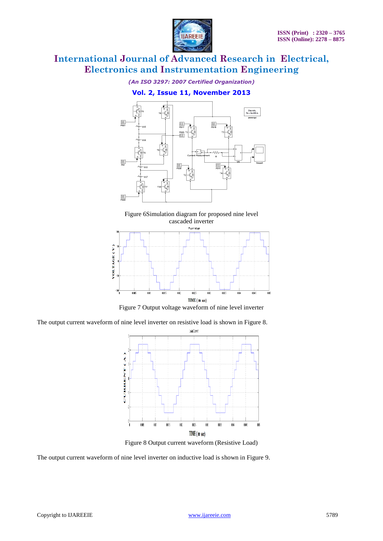

*(An ISO 3297: 2007 Certified Organization)*

### **Vol. 2, Issue 11, November 2013**









The output current waveform of nine level inverter on resistive load is shown in Figure 8.



Figure 8 Output current waveform (Resistive Load)

The output current waveform of nine level inverter on inductive load is shown in Figure 9.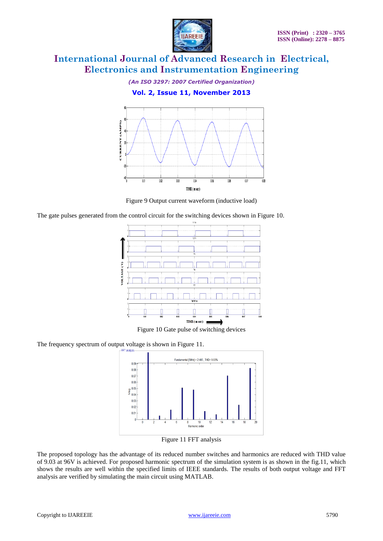

*(An ISO 3297: 2007 Certified Organization)*

**Vol. 2, Issue 11, November 2013**



Figure 9 Output current waveform (inductive load)

The gate pulses generated from the control circuit for the switching devices shown in Figure 10.



Figure 10 Gate pulse of switching devices

The frequency spectrum of output voltage is shown in Figure 11.



Figure 11 FFT analysis

The proposed topology has the advantage of its reduced number switches and harmonics are reduced with THD value of 9.03 at 96V is achieved. For proposed harmonic spectrum of the simulation system is as shown in the fig.11, which shows the results are well within the specified limits of IEEE standards. The results of both output voltage and FFT analysis are verified by simulating the main circuit using MATLAB.